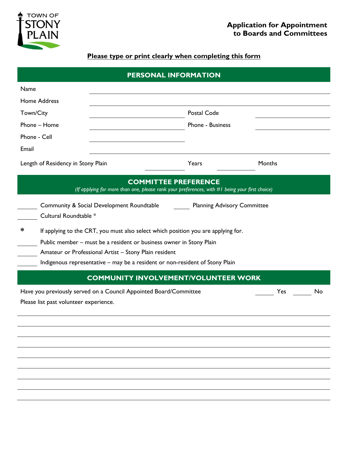

## **Please type or print clearly when completing this form**

| PERSONAL INFORMATION                                                                                                          |                                                                                                          |                                                                                                                                                                                                                                                                                                   |        |  |  |
|-------------------------------------------------------------------------------------------------------------------------------|----------------------------------------------------------------------------------------------------------|---------------------------------------------------------------------------------------------------------------------------------------------------------------------------------------------------------------------------------------------------------------------------------------------------|--------|--|--|
| Name                                                                                                                          |                                                                                                          |                                                                                                                                                                                                                                                                                                   |        |  |  |
|                                                                                                                               | <b>Home Address</b>                                                                                      |                                                                                                                                                                                                                                                                                                   |        |  |  |
| Town/City                                                                                                                     |                                                                                                          | Postal Code                                                                                                                                                                                                                                                                                       |        |  |  |
| Phone - Home                                                                                                                  |                                                                                                          | Phone - Business                                                                                                                                                                                                                                                                                  |        |  |  |
| Phone - Cell                                                                                                                  |                                                                                                          |                                                                                                                                                                                                                                                                                                   |        |  |  |
| Email                                                                                                                         |                                                                                                          |                                                                                                                                                                                                                                                                                                   |        |  |  |
| Length of Residency in Stony Plain                                                                                            |                                                                                                          | Years                                                                                                                                                                                                                                                                                             | Months |  |  |
| <b>COMMITTEE PREFERENCE</b><br>(If applying for more than one, please rank your preferences, with #I being your first choice) |                                                                                                          |                                                                                                                                                                                                                                                                                                   |        |  |  |
|                                                                                                                               | Community & Social Development Roundtable<br><b>Planning Advisory Committee</b><br>Cultural Roundtable * |                                                                                                                                                                                                                                                                                                   |        |  |  |
| ∗                                                                                                                             |                                                                                                          | If applying to the CRT, you must also select which position you are applying for.<br>Public member - must be a resident or business owner in Stony Plain<br>Amateur or Professional Artist - Stony Plain resident<br>Indigenous representative - may be a resident or non-resident of Stony Plain |        |  |  |
| <b>COMMUNITY INVOLVEMENT/VOLUNTEER WORK</b>                                                                                   |                                                                                                          |                                                                                                                                                                                                                                                                                                   |        |  |  |
| Have you previously served on a Council Appointed Board/Committee<br>Yes<br>No<br>Please list past volunteer experience.      |                                                                                                          |                                                                                                                                                                                                                                                                                                   |        |  |  |
|                                                                                                                               |                                                                                                          |                                                                                                                                                                                                                                                                                                   |        |  |  |
|                                                                                                                               |                                                                                                          |                                                                                                                                                                                                                                                                                                   |        |  |  |
|                                                                                                                               |                                                                                                          |                                                                                                                                                                                                                                                                                                   |        |  |  |
|                                                                                                                               |                                                                                                          |                                                                                                                                                                                                                                                                                                   |        |  |  |
|                                                                                                                               |                                                                                                          |                                                                                                                                                                                                                                                                                                   |        |  |  |
|                                                                                                                               |                                                                                                          |                                                                                                                                                                                                                                                                                                   |        |  |  |
|                                                                                                                               |                                                                                                          |                                                                                                                                                                                                                                                                                                   |        |  |  |